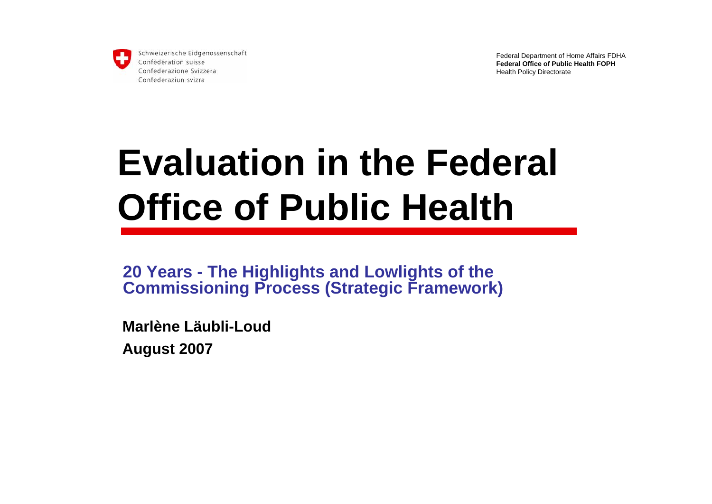

Federal Department of Home Affairs FDHA **Federal Office of Public Health FOPH**Health Policy Directorate

# **Evaluation in the Federal Office of Public Health**

**20 Years - The Highlights and Lowlights of the Commissioning Process (Strategic Framework)**

**Marlène Läubli-Loud**

**August 2007**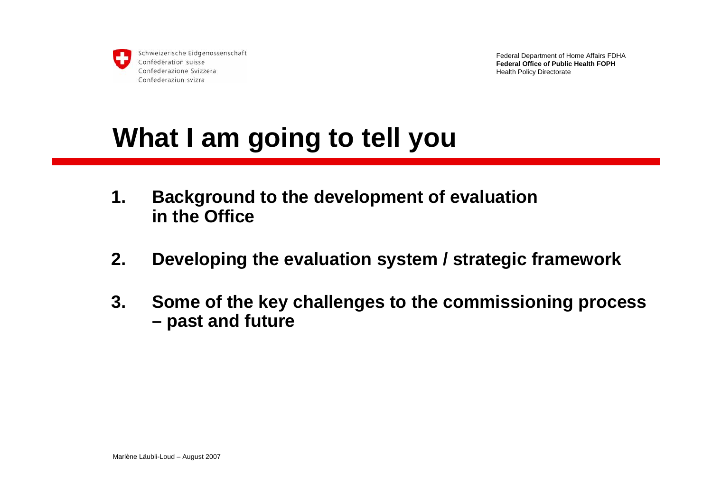

Federal Department of Home Affairs FDHA **Federal Office of Public Health FOPH**Health Policy Directorate

### **What I am going to tell you**

- **1. Background to the development of evaluation in the Office**
- **2. Developing the evaluation system / strategic framework**
- **3. Some of the key challenges to the commissioning process – past and future**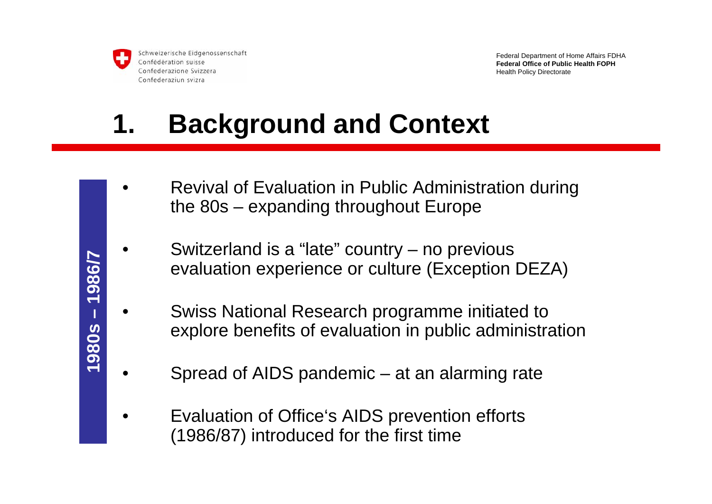

Federal Department of Home Affairs FDHA **Federal Office of Public Health FOPH**Health Policy Directorate

## **1. Background and Context**

- • Revival of Evaluation in Public Administration during the 80s – expanding throughout Europe
- • Switzerland is a "late" country – no previous evaluation experience or culture (Exception DEZA)
- • Swiss National Research programme initiated to explore benefits of evaluation in public administration
- • Spread of AIDS pandemic – at an alarming rate
	- Evaluation of Office's AIDS prevention efforts (1986/87) introduced for the first time

•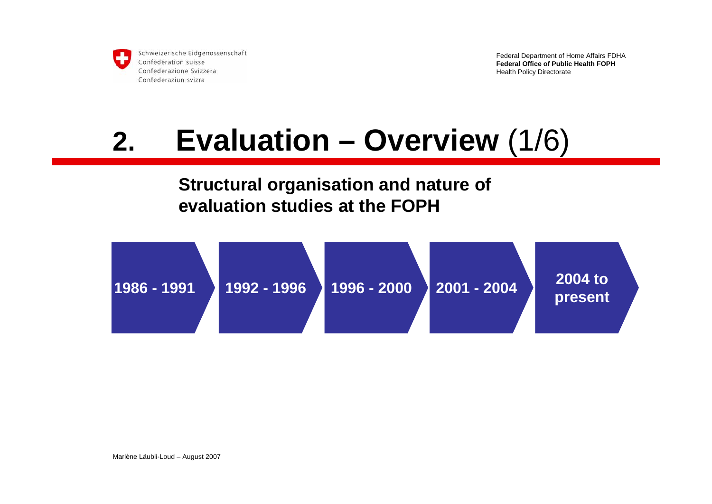

Federal Department of Home Affairs FDHA **Federal Office of Public Health FOPH**Health Policy Directorate

## **2. Evaluation – Overview** (1/6)

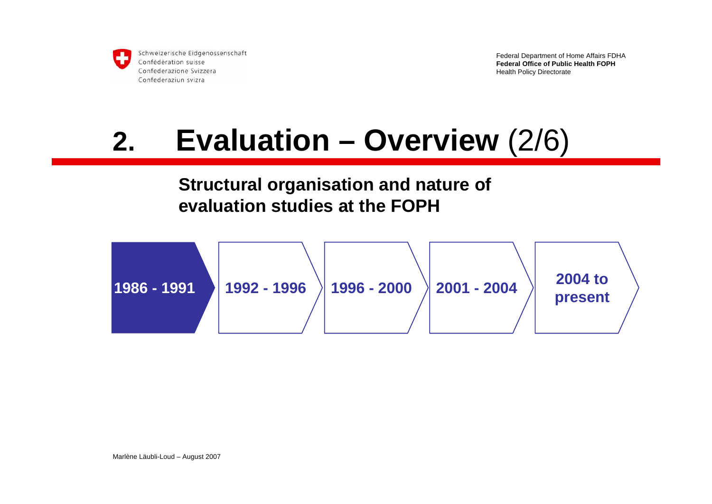

Federal Department of Home Affairs FDHA **Federal Office of Public Health FOPH**Health Policy Directorate

## **2. Evaluation – Overview** (2/6)

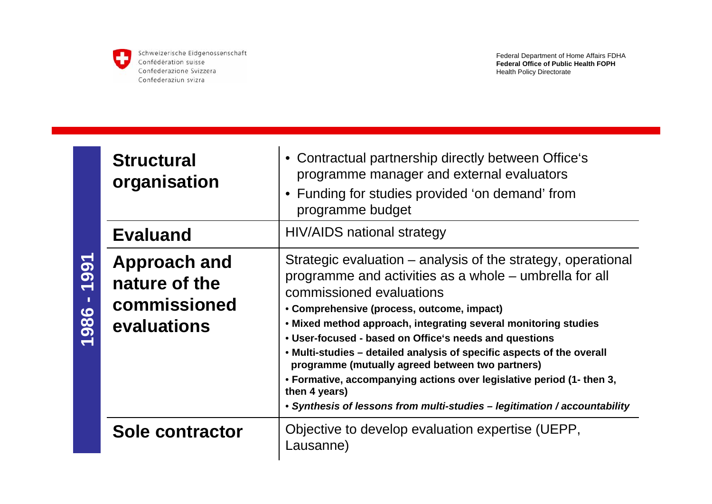

**1986 - 1991**

1986 - 1991

Schweizerische Eidgenossenschaft Confédération suisse Confederazione Svizzera Confederaziun svizra

| <b>Structural</b><br>organisation                                   | • Contractual partnership directly between Office's<br>programme manager and external evaluators<br>• Funding for studies provided 'on demand' from<br>programme budget                                                                                                                                                                                                                                                                                                                                                                                                                                                            |
|---------------------------------------------------------------------|------------------------------------------------------------------------------------------------------------------------------------------------------------------------------------------------------------------------------------------------------------------------------------------------------------------------------------------------------------------------------------------------------------------------------------------------------------------------------------------------------------------------------------------------------------------------------------------------------------------------------------|
| <b>Evaluand</b>                                                     | HIV/AIDS national strategy                                                                                                                                                                                                                                                                                                                                                                                                                                                                                                                                                                                                         |
| <b>Approach and</b><br>nature of the<br>commissioned<br>evaluations | Strategic evaluation – analysis of the strategy, operational<br>programme and activities as a whole – umbrella for all<br>commissioned evaluations<br>• Comprehensive (process, outcome, impact)<br>. Mixed method approach, integrating several monitoring studies<br>• User-focused - based on Office's needs and questions<br>• Multi-studies – detailed analysis of specific aspects of the overall<br>programme (mutually agreed between two partners)<br>• Formative, accompanying actions over legislative period (1- then 3,<br>then 4 years)<br>• Synthesis of lessons from multi-studies - legitimation / accountability |
| <b>Sole contractor</b>                                              | Objective to develop evaluation expertise (UEPP,<br>Lausanne)                                                                                                                                                                                                                                                                                                                                                                                                                                                                                                                                                                      |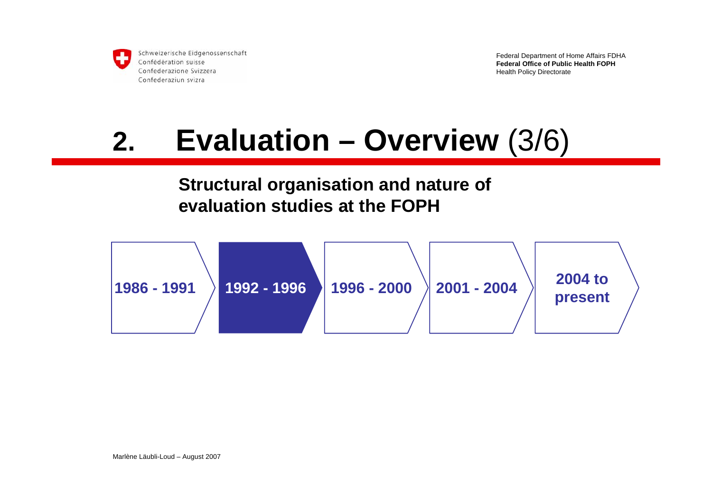

Federal Department of Home Affairs FDHA **Federal Office of Public Health FOPH**Health Policy Directorate

## **2. Evaluation – Overview** (3/6)

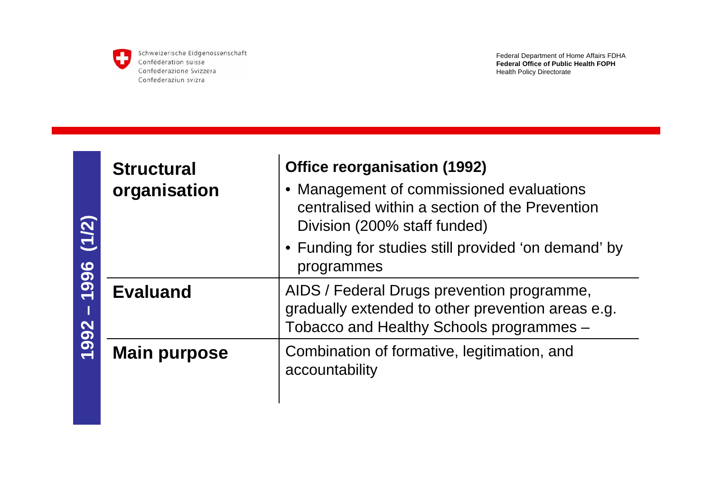

| (1/2)<br>1996<br>1992 | <b>Structural</b><br>organisation | <b>Office reorganisation (1992)</b><br>• Management of commissioned evaluations<br>centralised within a section of the Prevention<br>Division (200% staff funded)<br>• Funding for studies still provided 'on demand' by<br>programmes |
|-----------------------|-----------------------------------|----------------------------------------------------------------------------------------------------------------------------------------------------------------------------------------------------------------------------------------|
|                       | <b>Evaluand</b>                   | AIDS / Federal Drugs prevention programme,<br>gradually extended to other prevention areas e.g.<br>Tobacco and Healthy Schools programmes -                                                                                            |
|                       | <b>Main purpose</b>               | Combination of formative, legitimation, and<br>accountability                                                                                                                                                                          |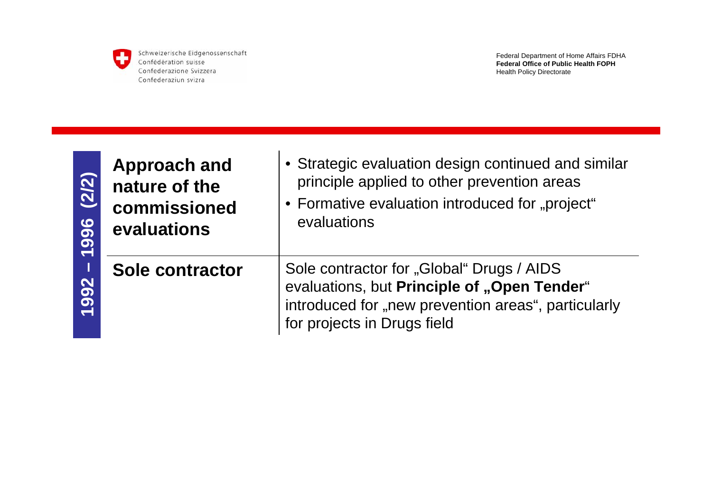

| (2/2)<br>996<br>992 | <b>Approach and</b><br>nature of the<br>commissioned<br>evaluations | • Strategic evaluation design continued and similar<br>principle applied to other prevention areas<br>• Formative evaluation introduced for "project"<br>evaluations           |
|---------------------|---------------------------------------------------------------------|--------------------------------------------------------------------------------------------------------------------------------------------------------------------------------|
|                     | Sole contractor                                                     | Sole contractor for "Global" Drugs / AIDS<br>evaluations, but Principle of "Open Tender"<br>introduced for "new prevention areas", particularly<br>for projects in Drugs field |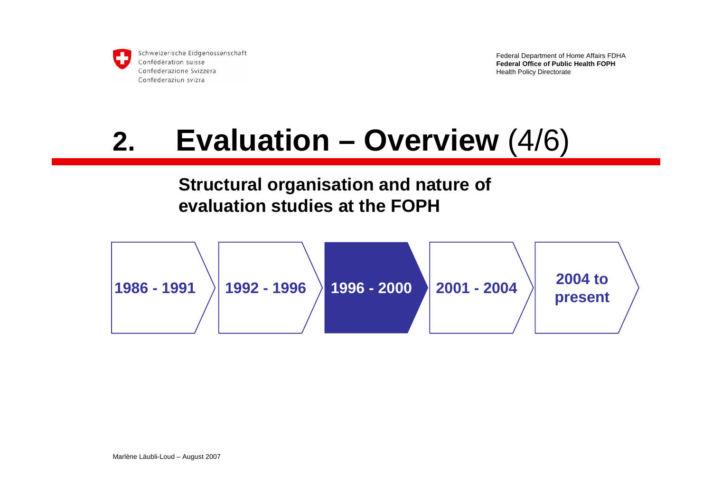

Federal Department of Home Affairs FDHA **Federal Office of Public Health FOPH**Health Policy Directorate

## **2. Evaluation – Overview** (4/6)

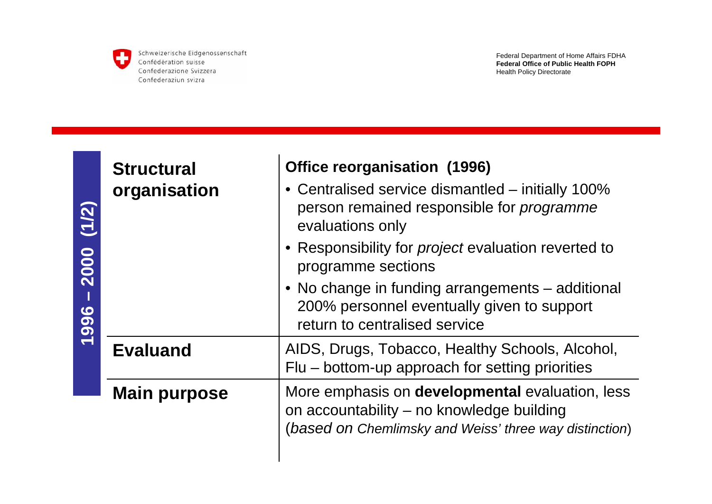

|                      | <b>Structural</b>   | <b>Office reorganisation (1996)</b>                                                                                                                    |
|----------------------|---------------------|--------------------------------------------------------------------------------------------------------------------------------------------------------|
| (1/2)<br>2000<br>996 | organisation        | • Centralised service dismantled - initially 100%<br>person remained responsible for programme<br>evaluations only                                     |
|                      |                     | • Responsibility for <i>project</i> evaluation reverted to<br>programme sections                                                                       |
|                      |                     | • No change in funding arrangements – additional<br>200% personnel eventually given to support<br>return to centralised service                        |
|                      | <b>Evaluand</b>     | AIDS, Drugs, Tobacco, Healthy Schools, Alcohol,<br>Flu – bottom-up approach for setting priorities                                                     |
|                      | <b>Main purpose</b> | More emphasis on developmental evaluation, less<br>on accountability – no knowledge building<br>(based on Chemlimsky and Weiss' three way distinction) |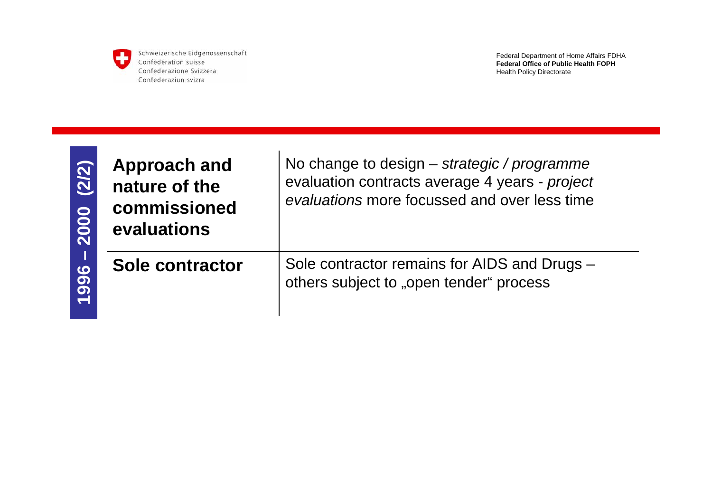

Federal Department of Home Affairs FDHA **Federal Office of Public Health FOPH**Health Policy Directorate

| (2/2)<br>2000 | <b>Approach and</b><br>nature of the<br>commissioned<br>evaluations | No change<br>evaluation o<br>evaluations |
|---------------|---------------------------------------------------------------------|------------------------------------------|
| 1996          | <b>Sole contractor</b>                                              | Sole contra<br>others subje              |

to design – *strategic / programme* contracts average 4 years - *project* more focussed and over less time

 $\cot$  remains for AIDS and Drugs – ect to "open tender" process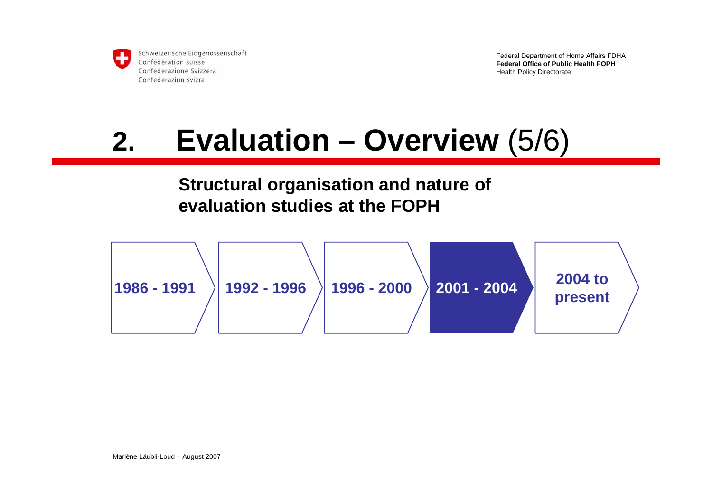

Federal Department of Home Affairs FDHA **Federal Office of Public Health FOPH**Health Policy Directorate

## **2. Evaluation – Overview** (5/6)

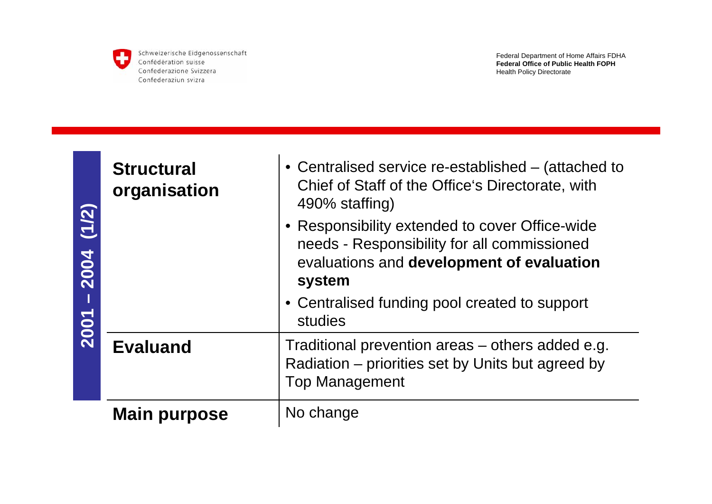

| (1/2)<br>2004<br>2001 | <b>Structural</b><br>organisation | • Centralised service re-established – (attached to<br>Chief of Staff of the Office's Directorate, with<br>490% staffing)<br>• Responsibility extended to cover Office-wide<br>needs - Responsibility for all commissioned<br>evaluations and development of evaluation<br>system<br>• Centralised funding pool created to support<br>studies |
|-----------------------|-----------------------------------|-----------------------------------------------------------------------------------------------------------------------------------------------------------------------------------------------------------------------------------------------------------------------------------------------------------------------------------------------|
|                       | <b>Evaluand</b>                   | Traditional prevention areas – others added e.g.<br>Radiation – priorities set by Units but agreed by<br><b>Top Management</b>                                                                                                                                                                                                                |
|                       | <b>Main purpose</b>               | No change                                                                                                                                                                                                                                                                                                                                     |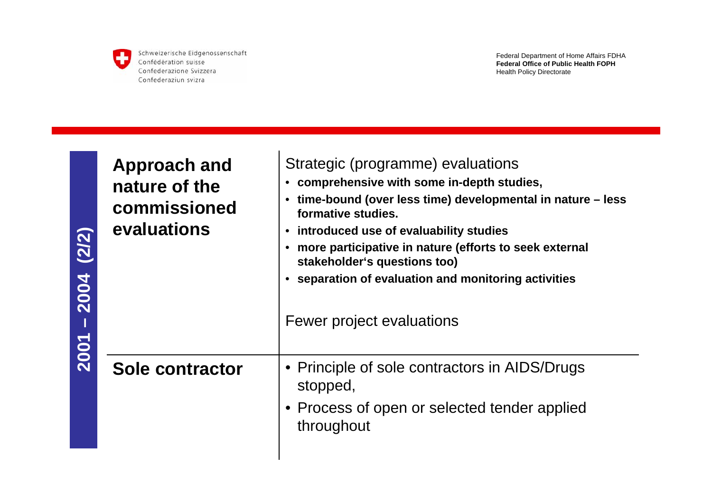

**2001 – 2004 (2/2)**

 $2001 - 2004$  (2/2)

Schweizerische Eidgenossenschaft Confédération suisse Confederazione Svizzera Confederaziun svizra

| <b>Approach and</b><br>nature of the<br>commissioned<br>evaluations | Strategic (programme) evaluations<br>• comprehensive with some in-depth studies,<br>time-bound (over less time) developmental in nature – less<br>formative studies.<br>introduced use of evaluability studies<br>$\bullet$<br>more participative in nature (efforts to seek external<br>stakeholder's questions too)<br>• separation of evaluation and monitoring activities<br>Fewer project evaluations |
|---------------------------------------------------------------------|------------------------------------------------------------------------------------------------------------------------------------------------------------------------------------------------------------------------------------------------------------------------------------------------------------------------------------------------------------------------------------------------------------|
| Sole contractor                                                     | • Principle of sole contractors in AIDS/Drugs<br>stopped,<br>• Process of open or selected tender applied<br>throughout                                                                                                                                                                                                                                                                                    |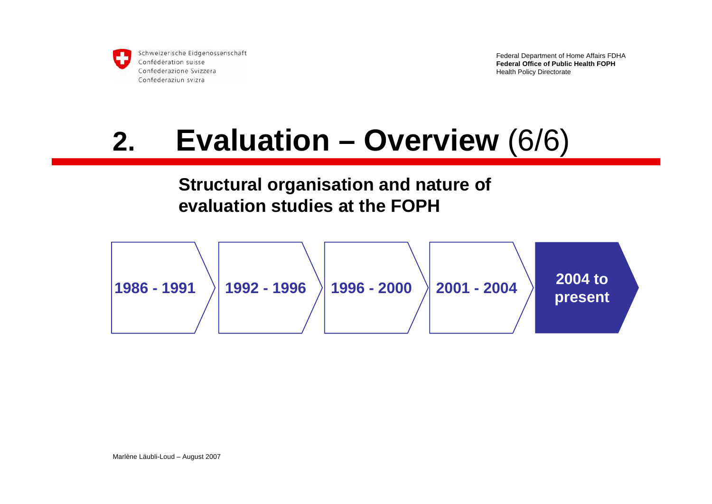

Federal Department of Home Affairs FDHA **Federal Office of Public Health FOPH**Health Policy Directorate

## **2. Evaluation – Overview** (6/6)

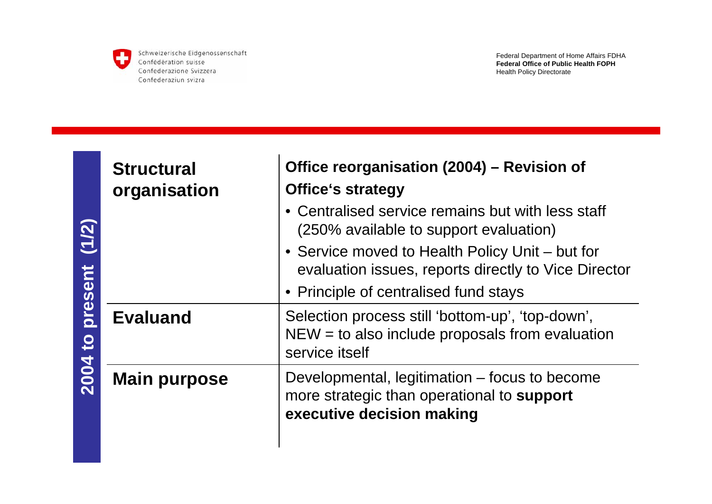

| $(1/2)$<br>present<br>$\overline{c}$<br>2004 | <b>Structural</b><br>organisation | Office reorganisation (2004) – Revision of<br><b>Office's strategy</b>                                                                           |
|----------------------------------------------|-----------------------------------|--------------------------------------------------------------------------------------------------------------------------------------------------|
|                                              |                                   | • Centralised service remains but with less staff<br>(250% available to support evaluation)                                                      |
|                                              |                                   | • Service moved to Health Policy Unit – but for<br>evaluation issues, reports directly to Vice Director<br>• Principle of centralised fund stays |
|                                              | <b>Evaluand</b>                   | Selection process still 'bottom-up', 'top-down',<br>$NEW = to also include proposals from evaluation$<br>service itself                          |
|                                              | <b>Main purpose</b>               | Developmental, legitimation – focus to become<br>more strategic than operational to support<br>executive decision making                         |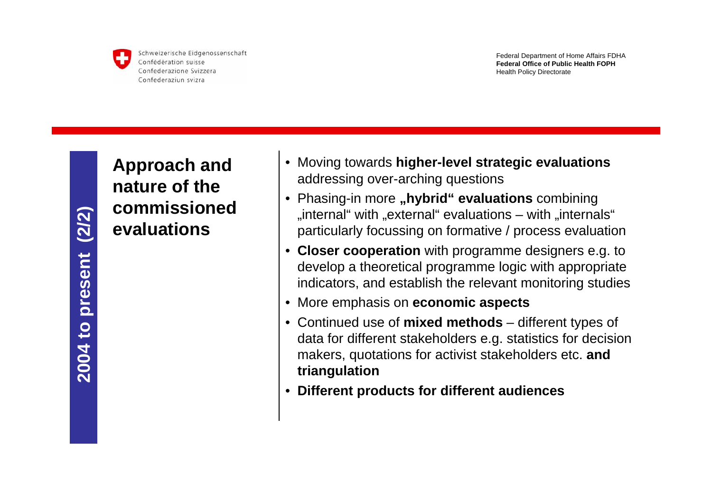

Federal Department of Home Affairs FDHA **Federal Office of Public Health FOPH**Health Policy Directorate

**Approach and nature of the commissioned evaluations**

- Moving towards **higher-level strategic evaluations** addressing over-arching questions
- Phasing-in more **"hybrid" evaluations** combining "internal "with "external" evaluations – with "internals". particularly focussing on formative / process evaluation
- • **Closer cooperation** with programme designers e.g. to develop a theoretical programme logic with appropriate indicators, and establish the relevant monitoring studies
- More emphasis on **economic aspects**
- Continued use of **mixed methods** different types of data for different stakeholders e.g. statistics for decision makers, quotations for activist stakeholders etc. **and triangulation**
- •**Different products for different audiences**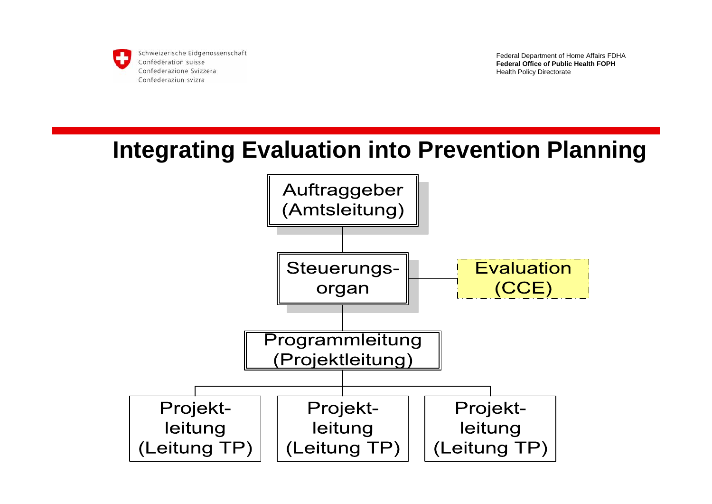

Federal Department of Home Affairs FDHA **Federal Office of Public Health FOPH**Health Policy Directorate

### **Integrating Evaluation into Prevention Planning**

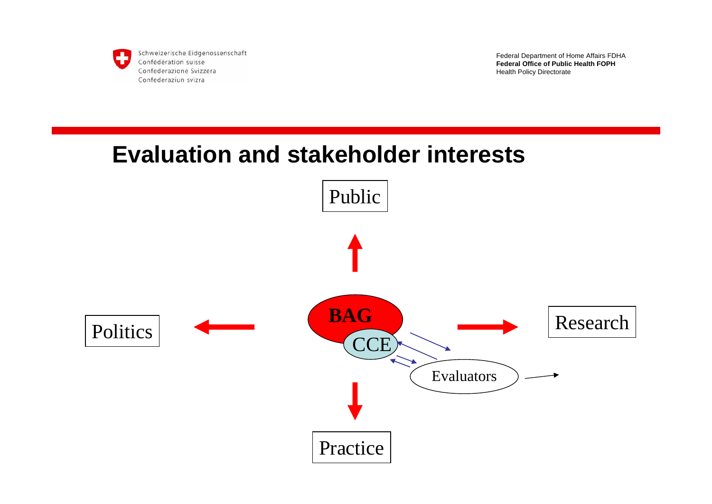

Federal Department of Home Affairs FDHA **Federal Office of Public Health FOPH**Health Policy Directorate

### **Evaluation and stakeholder interests**

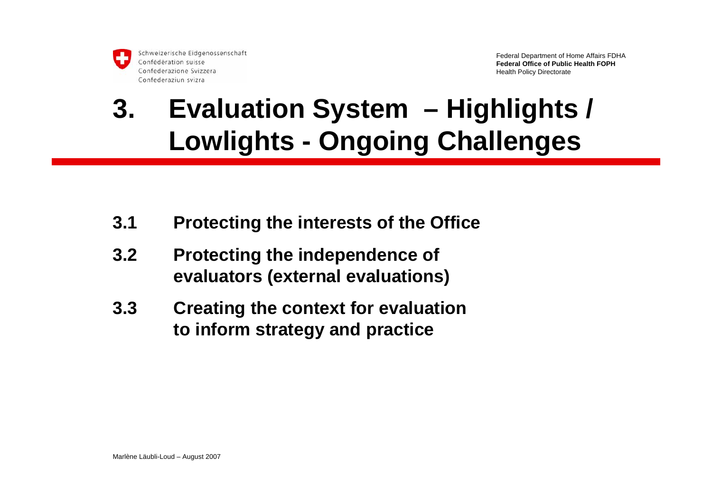### **3. Evaluation System – Highlights / Lowlights - Ongoing Challenges**

- **3.1 Protecting the interests of the Office**
- **3.2 Protecting the independence of evaluators (external evaluations)**
- **3.3 Creating the context for evaluation to inform strategy and practice**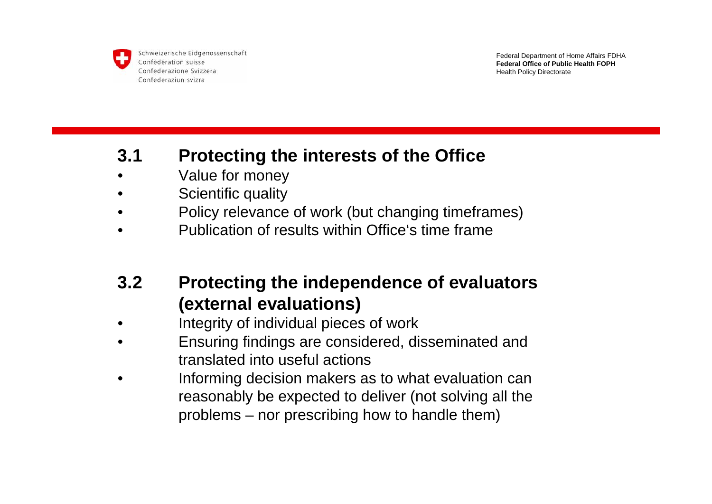

Federal Department of Home Affairs FDHA **Federal Office of Public Health FOPH**Health Policy Directorate

#### **3.1 Protecting the interests of the Office**

- •Value for money
- •Scientific quality
- •Policy relevance of work (but changing timeframes)
- •Publication of results within Office's time frame

### **3.2 Protecting the independence of evaluators (external evaluations)**

- •Integrity of individual pieces of work
- • Ensuring findings are considered, disseminated and translated into useful actions
- • Informing decision makers as to what evaluation can reasonably be expected to deliver (not solving all the problems – nor prescribing how to handle them)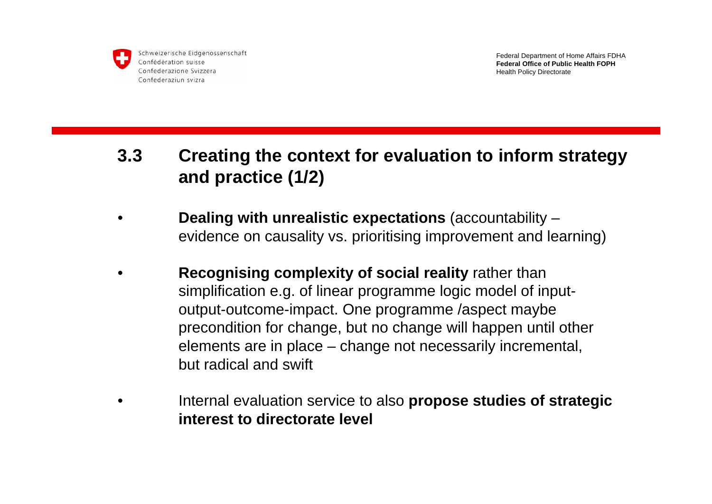

Federal Department of Home Affairs FDHA **Federal Office of Public Health FOPH**Health Policy Directorate

### **3.3 Creating the context for evaluation to inform strategy and practice (1/2)**

- • **Dealing with unrealistic expectations** (accountability – evidence on causality vs. prioritising improvement and learning)
- • **Recognising complexity of social reality** rather than simplification e.g. of linear programme logic model of inputoutput-outcome-impact. One programme /aspect maybe precondition for change, but no change will happen until other elements are in place – change not necessarily incremental, but radical and swift
- • Internal evaluation service to also **propose studies of strategic interest to directorate level**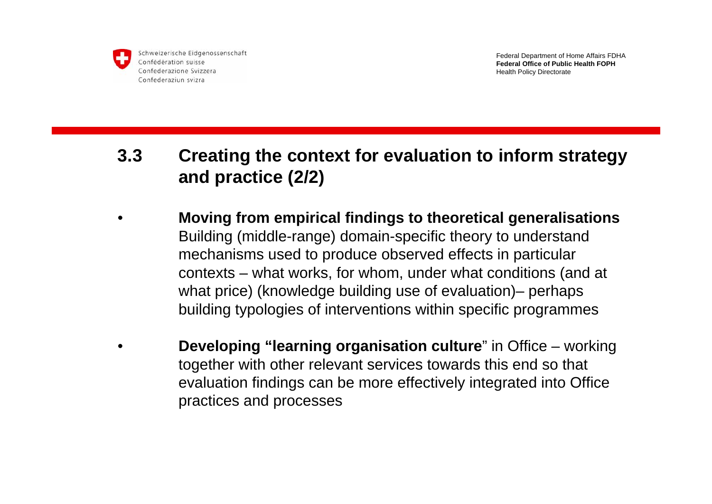

Federal Department of Home Affairs FDHA **Federal Office of Public Health FOPH**Health Policy Directorate

#### **3.3 Creating the context for evaluation to inform strategy and practice (2/2)**

- • **Moving from empirical findings to theoretical generalisations** Building (middle-range) domain-specific theory to understand mechanisms used to produce observed effects in particular contexts – what works, for whom, under what conditions (and at what price) (knowledge building use of evaluation)– perhaps building typologies of interventions within specific programmes
- • **Developing "learning organisation culture**" in Office – working together with other relevant services towards this end so that evaluation findings can be more effectively integrated into Office practices and processes